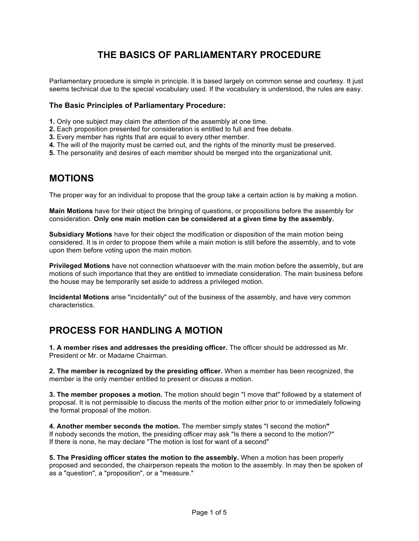# **THE BASICS OF PARLIAMENTARY PROCEDURE**

Parliamentary procedure is simple in principle. It is based largely on common sense and courtesy. It just seems technical due to the special vocabulary used. If the vocabulary is understood, the rules are easy.

### **The Basic Principles of Parliamentary Procedure:**

- **1.** Only one subject may claim the attention of the assembly at one time.
- **2.** Each proposition presented for consideration is entitled to full and free debate.
- **3.** Every member has rights that are equal to every other member.
- **4.** The will of the majority must be carried out, and the rights of the minority must be preserved.
- **5.** The personality and desires of each member should be merged into the organizational unit.

### **MOTIONS**

The proper way for an individual to propose that the group take a certain action is by making a motion.

**Main Motions** have for their object the bringing of questions, or propositions before the assembly for consideration. **Only one main motion can be considered at a given time by the assembly.**

**Subsidiary Motions** have for their object the modification or disposition of the main motion being considered. It is in order to propose them while a main motion is still before the assembly, and to vote upon them before voting upon the main motion.

**Privileged Motions** have not connection whatsoever with the main motion before the assembly, but are motions of such importance that they are entitled to immediate consideration. The main business before the house may be temporarily set aside to address a privileged motion.

**Incidental Motions** arise "incidentally" out of the business of the assembly, and have very common characteristics.

## **PROCESS FOR HANDLING A MOTION**

**1. A member rises and addresses the presiding officer.** The officer should be addressed as Mr. President or Mr. or Madame Chairman.

**2. The member is recognized by the presiding officer.** When a member has been recognized, the member is the only member entitled to present or discuss a motion.

**3. The member proposes a motion.** The motion should begin "I move that" followed by a statement of proposal. It is not permissible to discuss the merits of the motion either prior to or immediately following the formal proposal of the motion.

**4. Another member seconds the motion.** The member simply states "I second the motion**"** If nobody seconds the motion, the presiding officer may ask "Is there a second to the motion?" If there is none, he may declare "The motion is lost for want of a second"

**5. The Presiding officer states the motion to the assembly.** When a motion has been properly proposed and seconded, the chairperson repeats the motion to the assembly. In may then be spoken of as a "question", a "proposition", or a "measure."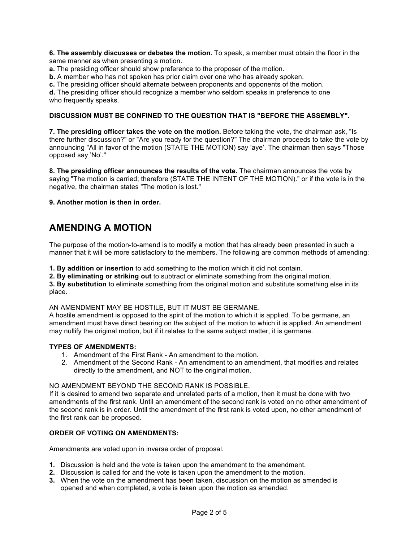**6. The assembly discusses or debates the motion.** To speak, a member must obtain the floor in the same manner as when presenting a motion.

**a.** The presiding officer should show preference to the proposer of the motion.

**b.** A member who has not spoken has prior claim over one who has already spoken.

**c.** The presiding officer should alternate between proponents and opponents of the motion.

**d.** The presiding officer should recognize a member who seldom speaks in preference to one who frequently speaks.

#### **DISCUSSION MUST BE CONFINED TO THE QUESTION THAT IS "BEFORE THE ASSEMBLY".**

**7. The presiding officer takes the vote on the motion.** Before taking the vote, the chairman ask, "Is there further discussion?" or "Are you ready for the question?" The chairman proceeds to take the vote by announcing "All in favor of the motion (STATE THE MOTION) say 'aye'. The chairman then says "Those opposed say 'No'."

**8. The presiding officer announces the results of the vote.** The chairman announces the vote by saying "The motion is carried; therefore (STATE THE INTENT OF THE MOTION)." or if the vote is in the negative, the chairman states "The motion is lost."

**9. Another motion is then in order.**

## **AMENDING A MOTION**

The purpose of the motion-to-amend is to modify a motion that has already been presented in such a manner that it will be more satisfactory to the members. The following are common methods of amending:

**1. By addition or insertion** to add something to the motion which it did not contain.

**2. By eliminating or striking out** to subtract or eliminate something from the original motion.

**3. By substitution** to eliminate something from the original motion and substitute something else in its place.

AN AMENDMENT MAY BE HOSTILE, BUT IT MUST BE GERMANE.

A hostile amendment is opposed to the spirit of the motion to which it is applied. To be germane, an amendment must have direct bearing on the subject of the motion to which it is applied. An amendment may nullify the original motion, but if it relates to the same subject matter, it is germane.

#### **TYPES OF AMENDMENTS:**

- 1. Amendment of the First Rank An amendment to the motion.
- 2. Amendment of the Second Rank An amendment to an amendment, that modifies and relates directly to the amendment, and NOT to the original motion.

#### NO AMENDMENT BEYOND THE SECOND RANK IS POSSIBLE.

If it is desired to amend two separate and unrelated parts of a motion, then it must be done with two amendments of the first rank. Until an amendment of the second rank is voted on no other amendment of the second rank is in order. Until the amendment of the first rank is voted upon, no other amendment of the first rank can be proposed.

#### **ORDER OF VOTING ON AMENDMENTS:**

Amendments are voted upon in inverse order of proposal.

- **1.** Discussion is held and the vote is taken upon the amendment to the amendment.
- **2.** Discussion is called for and the vote is taken upon the amendment to the motion.
- **3.** When the vote on the amendment has been taken, discussion on the motion as amended is opened and when completed, a vote is taken upon the motion as amended.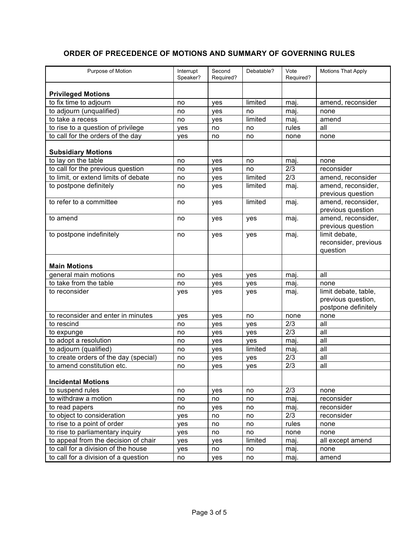### **ORDER OF PRECEDENCE OF MOTIONS AND SUMMARY OF GOVERNING RULES**

| Purpose of Motion                     | Interrupt<br>Speaker? | Second<br>Required? | Debatable? | Vote<br>Required? | <b>Motions That Apply</b>                                         |
|---------------------------------------|-----------------------|---------------------|------------|-------------------|-------------------------------------------------------------------|
| <b>Privileged Motions</b>             |                       |                     |            |                   |                                                                   |
| to fix time to adjourn                | no                    | yes                 | limited    | maj.              | amend, reconsider                                                 |
| to adjourn (unqualified)              | no                    | yes                 | no         | maj.              | none                                                              |
| to take a recess                      | no                    | yes                 | limited    | mai.              | amend                                                             |
| to rise to a question of privilege    | yes                   | no                  | no         | rules             | all                                                               |
| to call for the orders of the day     | yes                   | no                  | no         | none              | none                                                              |
| <b>Subsidiary Motions</b>             |                       |                     |            |                   |                                                                   |
| to lay on the table                   | no                    | yes                 | no         | maj.              | none                                                              |
| to call for the previous question     | no                    | yes                 | no         | 2/3               | reconsider                                                        |
| to limit, or extend limits of debate  | no                    | yes                 | limited    | 2/3               | amend, reconsider                                                 |
| to postpone definitely                | no                    | yes                 | limited    | maj.              | amend, reconsider,<br>previous question                           |
| to refer to a committee               | no                    | yes                 | limited    | maj.              | amend, reconsider,<br>previous question                           |
| to amend                              | no                    | yes                 | yes        | maj.              | amend, reconsider,<br>previous question                           |
| to postpone indefinitely              | no                    | yes                 | yes        | maj.              | limit debate,<br>reconsider, previous<br>question                 |
| <b>Main Motions</b>                   |                       |                     |            |                   |                                                                   |
| general main motions                  | no                    | yes                 | yes        | maj.              | all                                                               |
| to take from the table                | no                    | yes                 | yes        | maj.              | none                                                              |
| to reconsider                         | yes                   | yes                 | yes        | maj.              | limit debate, table,<br>previous question,<br>postpone definitely |
| to reconsider and enter in minutes    | yes                   | yes                 | no         | none              | none                                                              |
| to rescind                            | no                    | yes                 | yes        | 2/3               | all                                                               |
| to expunge                            | no                    | yes                 | yes        | 2/3               | all                                                               |
| to adopt a resolution                 | no                    | yes                 | yes        | maj.              | all                                                               |
| to adjourn (qualified)                | no                    | yes                 | limited    | mai.              | all                                                               |
| to create orders of the day (special) | no                    | yes                 | yes        | 2/3               | all                                                               |
| to amend constitution etc.            | no                    | yes                 | yes        | 2/3               | all                                                               |
| <b>Incidental Motions</b>             |                       |                     |            |                   |                                                                   |
| to suspend rules                      | no                    | yes                 | no         | 2/3               | none                                                              |
| to withdraw a motion                  | no                    | no                  | no         | maj.              | reconsider                                                        |
| to read papers                        | no                    | yes                 | no         | maj.              | reconsider                                                        |
| to object to consideration            | yes                   | no                  | no         | 2/3               | reconsider                                                        |
| to rise to a point of order           | yes                   | no                  | no         | rules             | none                                                              |
| to rise to parliamentary inquiry      | yes                   | no                  | no         | none              | none                                                              |
| to appeal from the decision of chair  | yes                   | yes                 | limited    | maj.              | all except amend                                                  |
| to call for a division of the house   | yes                   | no                  | no         | maj.              | none                                                              |
| to call for a division of a question  | no                    | yes                 | no         | maj.              | amend                                                             |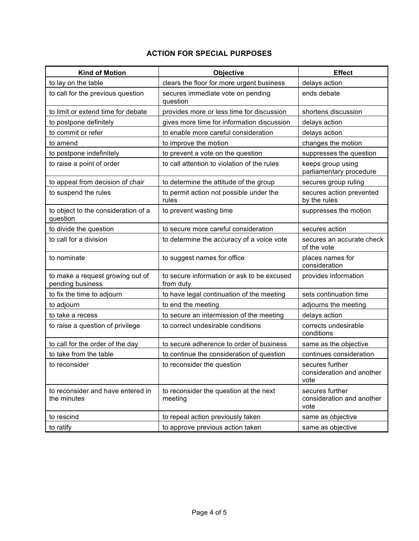### **ACTION FOR SPECIAL PURPOSES**

| <b>Kind of Motion</b>                                | Objective                                               | <b>Effect</b>                                        |  |
|------------------------------------------------------|---------------------------------------------------------|------------------------------------------------------|--|
| to lay on the table                                  | clears the floor for more urgent business               | delays action                                        |  |
| to call for the previous question                    | secures immediate vote on pending<br>question           | ends debate                                          |  |
| to limit or extend time for debate                   | provides more or less time for discussion               | shortens discussion                                  |  |
| to postpone definitely                               | gives more time for information discussion              | delays action                                        |  |
| to commit or refer                                   | to enable more careful consideration                    | delays action                                        |  |
| to amend                                             | to improve the motion                                   | changes the motion                                   |  |
| to postpone indefinitely                             | to prevent a vote on the question                       | suppresses the question                              |  |
| to raise a point of order                            | to call attention to violation of the rules             | keeps group using<br>parliamentary procedure         |  |
| to appeal from decision of chair                     | to determine the attitude of the group                  | secures group ruling                                 |  |
| to suspend the rules                                 | to permit action not possible under the<br>rules        | secures action prevented<br>by the rules             |  |
| to object to the consideration of a<br>question      | to prevent wasting time                                 | suppresses the motion                                |  |
| to divide the question                               | to secure more careful consideration                    | secures action                                       |  |
| to call for a division                               | to determine the accuracy of a voice vote               | secures an accurate check<br>of the vote             |  |
| to nominate                                          | to suggest names for office                             | places names for<br>consideration                    |  |
| to make a request growing out of<br>pending business | to secure information or ask to be excused<br>from duty | provides information                                 |  |
| to fix the time to adjourn                           | to have legal continuation of the meeting               | sets continuation time                               |  |
| to adjourn                                           | to end the meeting                                      | adjourns the meeting                                 |  |
| to take a recess                                     | to secure an intermission of the meeting                | delays action                                        |  |
| to raise a question of privilege                     | to correct undesirable conditions                       | corrects undesirable<br>conditions                   |  |
| to call for the order of the day                     | to secure adherence to order of business                | same as the objective                                |  |
| to take from the table                               | to continue the consideration of question               | continues consideration                              |  |
| to reconsider                                        | to reconsider the question                              | secures further<br>consideration and another<br>vote |  |
| to reconsider and have entered in<br>the minutes     | to reconsider the question at the next<br>meeting       | secures further<br>consideration and another<br>vote |  |
| to rescind                                           | to repeal action previously taken                       | same as objective                                    |  |
| to ratify                                            | to approve previous action taken                        | same as objective                                    |  |